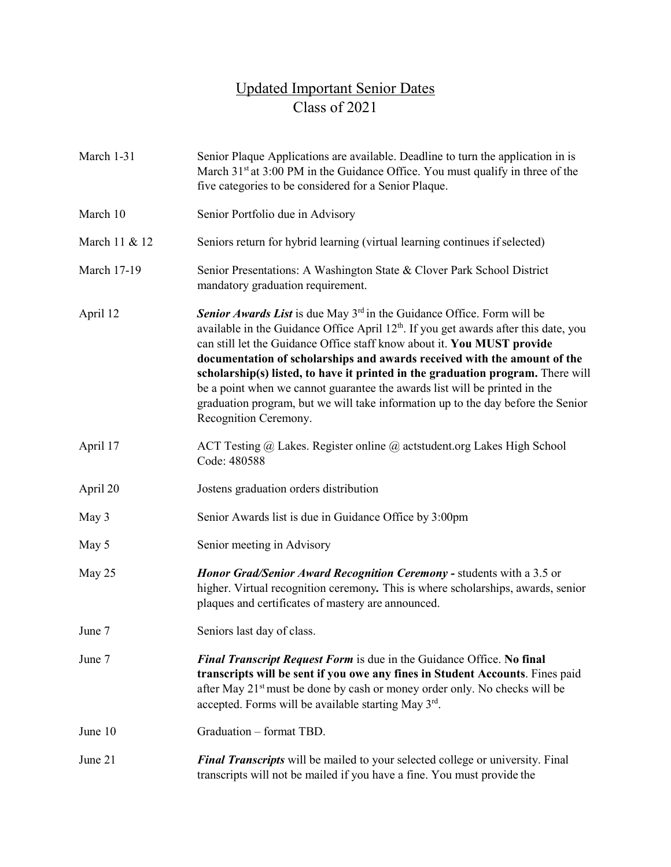## Updated Important Senior Dates Class of 2021

| March 1-31         | Senior Plaque Applications are available. Deadline to turn the application in is<br>March 31 <sup>st</sup> at 3:00 PM in the Guidance Office. You must qualify in three of the<br>five categories to be considered for a Senior Plaque.                                                                                                                                                                                                                                                                                                                                                                                     |
|--------------------|-----------------------------------------------------------------------------------------------------------------------------------------------------------------------------------------------------------------------------------------------------------------------------------------------------------------------------------------------------------------------------------------------------------------------------------------------------------------------------------------------------------------------------------------------------------------------------------------------------------------------------|
| March 10           | Senior Portfolio due in Advisory                                                                                                                                                                                                                                                                                                                                                                                                                                                                                                                                                                                            |
| March 11 & 12      | Seniors return for hybrid learning (virtual learning continues if selected)                                                                                                                                                                                                                                                                                                                                                                                                                                                                                                                                                 |
| <b>March 17-19</b> | Senior Presentations: A Washington State & Clover Park School District<br>mandatory graduation requirement.                                                                                                                                                                                                                                                                                                                                                                                                                                                                                                                 |
| April 12           | Senior Awards List is due May 3 <sup>rd</sup> in the Guidance Office. Form will be<br>available in the Guidance Office April 12 <sup>th</sup> . If you get awards after this date, you<br>can still let the Guidance Office staff know about it. You MUST provide<br>documentation of scholarships and awards received with the amount of the<br>scholarship(s) listed, to have it printed in the graduation program. There will<br>be a point when we cannot guarantee the awards list will be printed in the<br>graduation program, but we will take information up to the day before the Senior<br>Recognition Ceremony. |
| April 17           | ACT Testing $\omega$ Lakes. Register online $\omega$ actstudent.org Lakes High School<br>Code: 480588                                                                                                                                                                                                                                                                                                                                                                                                                                                                                                                       |
| April 20           | Jostens graduation orders distribution                                                                                                                                                                                                                                                                                                                                                                                                                                                                                                                                                                                      |
| May 3              | Senior Awards list is due in Guidance Office by 3:00pm                                                                                                                                                                                                                                                                                                                                                                                                                                                                                                                                                                      |
| May 5              | Senior meeting in Advisory                                                                                                                                                                                                                                                                                                                                                                                                                                                                                                                                                                                                  |
| May 25             | Honor Grad/Senior Award Recognition Ceremony - students with a 3.5 or<br>higher. Virtual recognition ceremony. This is where scholarships, awards, senior<br>plaques and certificates of mastery are announced.                                                                                                                                                                                                                                                                                                                                                                                                             |
| June 7             | Seniors last day of class.                                                                                                                                                                                                                                                                                                                                                                                                                                                                                                                                                                                                  |
| June 7             | Final Transcript Request Form is due in the Guidance Office. No final<br>transcripts will be sent if you owe any fines in Student Accounts. Fines paid<br>after May 21 <sup>st</sup> must be done by cash or money order only. No checks will be<br>accepted. Forms will be available starting May 3rd.                                                                                                                                                                                                                                                                                                                     |
| June 10            | Graduation - format TBD.                                                                                                                                                                                                                                                                                                                                                                                                                                                                                                                                                                                                    |
| June 21            | <b>Final Transcripts</b> will be mailed to your selected college or university. Final<br>transcripts will not be mailed if you have a fine. You must provide the                                                                                                                                                                                                                                                                                                                                                                                                                                                            |